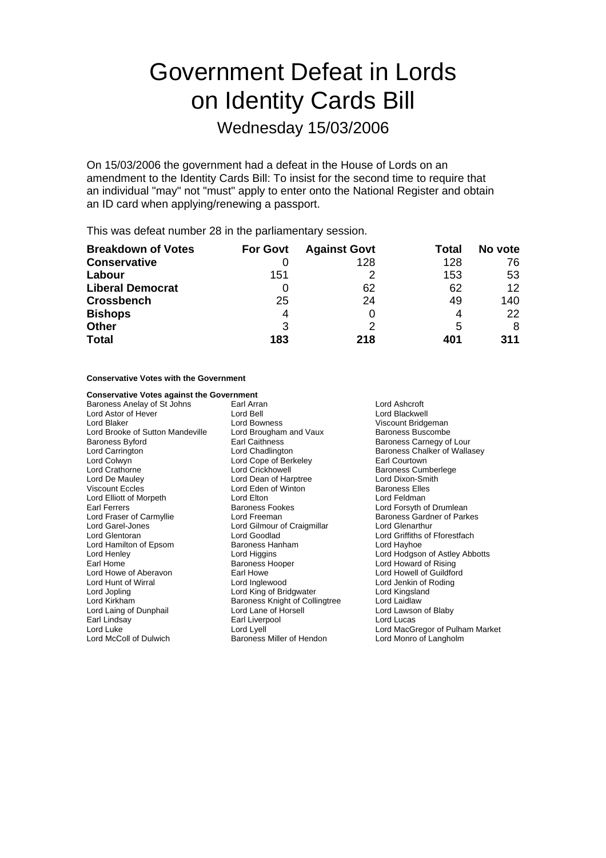# Government Defeat in Lords on Identity Cards Bill

Wednesday 15/03/2006

On 15/03/2006 the government had a defeat in the House of Lords on an amendment to the Identity Cards Bill: To insist for the second time to require that an individual "may" not "must" apply to enter onto the National Register and obtain an ID card when applying/renewing a passport.

This was defeat number 28 in the parliamentary session.

| <b>Breakdown of Votes</b> | <b>For Govt</b> | <b>Against Govt</b> | Total | No vote         |
|---------------------------|-----------------|---------------------|-------|-----------------|
| <b>Conservative</b>       |                 | 128                 | 128   | 76              |
| Labour                    | 151             |                     | 153   | 53              |
| <b>Liberal Democrat</b>   | 0               | 62                  | 62    | 12 <sup>2</sup> |
| <b>Crossbench</b>         | 25              | 24                  | 49    | 140             |
| <b>Bishops</b>            | 4               |                     | 4     | 22              |
| <b>Other</b>              | 3               |                     | 5     | 8               |
| <b>Total</b>              | 183             | 218                 | 401   | 311             |

### **Conservative Votes with the Government**

### **Conservative Votes against the Government**

Baroness Anelay of St Johns Earl Arran Lord Ashcroft Lord Astor of Hever Lord Bell Lord Blackwell Lord Brooke of Sutton Mandeville Baroness Byford **Earl Caithness** Earl Caithness **Baroness Carnegy of Lour** Lord Carrington **Lord Chadlington** Baroness Chalker of Wallasey<br>
Lord Colwyn **Lord Cope of Berkeley** Earl Courtown Lord Colwyn Lord Cope of Berkeley<br>
Lord Crathorne Lord Crickhowell Lord De Mauley **Lord Dean of Harptree** Lord Dixon-Smith<br>
Viscount Eccles
Corpus Lord Eden of Winton
Lord Eden of Minton
Lord Eden of Winton Lord Elliott of Morpeth<br>
Farl Ferrers<br>
Baroness Fookes Earl Ferrers Town Baroness Fookes Lord Forsyth of Drumlean<br>
Lord Fraser of Carmyllie Lord Freeman<br>
Lord Freeman Baroness Gardner of Park Lord Fraser of Carmyllie **Lord Freeman** Baroness Gardner of Parkes<br>
Lord Garel-Jones **Barones Lord Gilmour of Craigmillar** Baroness Gardner of Parkes Lord Glentoran **Lord Goodlad** Lord Goodlad Lord Griffiths of Fforestfach<br>
Lord Hamilton of Epsom **Baroness Hanham** Lord Hayhoe Lord Hamilton of Epsom Baroness Hanham Lord Henley **Lord Higgins** Lord Higgins **Lord Hodgson of Astley Abbotts**<br>
Earl Home **Consumers** Baroness Hooper **Consumers** Lord Howard of Rising Earl Home **Baroness Hooper** Earl Home **Lord Howard of Rising**<br>
Lord Howe of Aberavon **Baroness Hooper** Earl Howe **Lord Howell of Guildform** Lord Hunt of Wirral Lord Inglewood Lord Jenkin of Roding Lord Jopling Lord King of Bridgwater Lord Kingsland Lord Laing of Dunphail Lord Lane of Horsell Lord Lawson of Blaby Earl Lindsay Earl Liverpool Lord Lucas Lord Luke Lord Luke Lord Luke Lord Luke Lord Luke Lord MacGregor of Pulham Market<br>Lord McColl of Dulwich Lord Monro of Langholm

Lord Bowness<br>
Lord Brougham and Vaux<br>
Baroness Buscombe Lord Eden of Winton **Baroness Elles**<br>
Lord Elton Baroness Elles Lord Gilmour of Craigmillar Baroness Knight of Collingtree

Baroness Cumberlege **Lord Howell of Guildford** Baroness Miller of Hendon Lord Monro of Langholm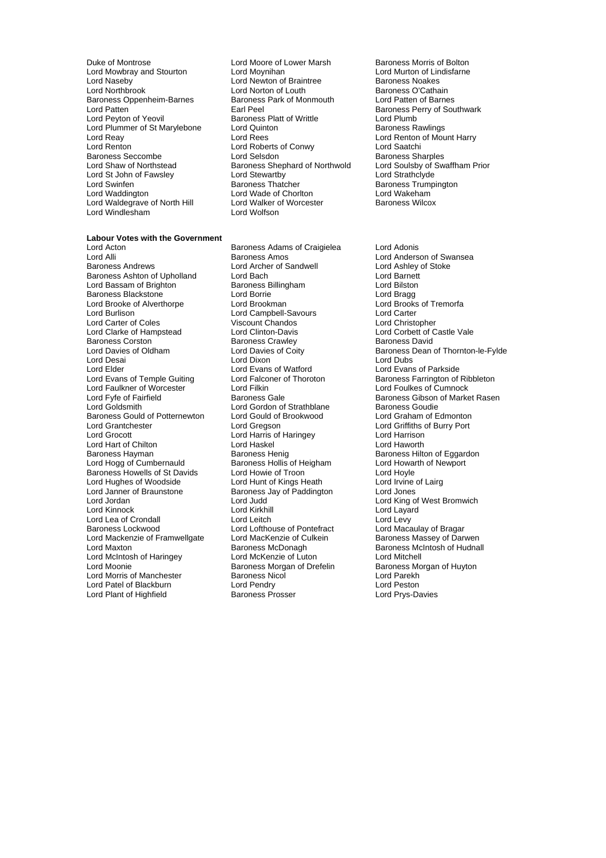Duke of Montrose **Lord Moore of Lower Marsh** Baroness Morris of Bolton<br>
Lord Mowbray and Stourton **Baroness Lord Moynihan Baroness Morris Corporation** Lord Murton of Lindisfarne Lord Mowbray and Stourton **Lord Moynihan** Lord Murton of Lindisfarm Cord Murton of Lindisfarm Cord Murton of Braintree **Lord Murton of Statisfarm** Lord Naseby **Lord Newton of Braintree** Baroness Noakes<br>Lord Northbrook **Lord Norton of Louth Baroness O'Cathain** Lord Northbrook Lord Norton of Louth The Baroness O'Cathain<br>Baroness Oppenheim-Barnes Baroness Park of Monmouth Lord Patten of Barnes Baroness Oppenheim-Barnes Baroness<br>
Lord Patten **Earl Peel** Lord Patten **Earl Peel** Earl Peel Baroness Perry of Southwark<br>
Lord Peyton of Yeovil Baroness Platt of Writtle Lord Plumb Lord Plummer of St Marylebone Lord Reay **Lord Rees** Lord Rees **Lord Rees** Lord Renton of Mount Harry<br>
Lord Renton **Lord Roberts of Conwy** Lord Saatchi Lord Renton<br>
Baroness Seccombe<br>
Lord Selsdon<br>
Lord Selsdon Baroness Seccombe **Lord Selsdon** Baroness Sharples<br>
Lord Shaw of Northstead Baroness Shephard of Northwold Lord Soulsby of Swaffham Prior Lord St John of Fawsley<br>Lord Swinfen Lord Waddington **Lord Wade of Chorlton** Lord Wakeham<sup>1</sup><br>
Lord Waldegrave of North Hill Lord Walker of Worcester **Chorle Baroness Wilcox** Lord Waldegrave of North Hill Lord Walker c<br>
Lord Windlesham **Maroness Willie Rand Workson** Lord Windlesham

### **Labour Votes with the Government**

Lord Alli **Lord Alli Baroness Amos** Lord Anderson of Swansea<br>
Baroness Andrews **Lord Anderson Cord Anderson Cord Ashlet** Lord Ashlev of Stoke Baroness Ashton of Upholland Lord Bach Lord Barnett Lord Bassam of Brighton **Baroness Billingham** and Bilston Lord Bilston Baroness Blackstone Lord Bragg Baroness Blackstone Lord Borrie Lord Bragg Lord Brooke of Alverthorpe Lord Brookman Lord Brooks Cord Brooks Cord Brooks Cord Brooks Cord Brooks Cord Canter<br>
Lord Burlison Carter Lord Carter of Coles Viscount Chandos Lord Christopher Lord Clarke of Hampstead Lord Clinton-Davis Lord Corbett of Castle Vale<br>
Baroness Corston Baroness Crawley Baroness David Baroness Corston **Baroness Crawley**<br> **Cord Davies of Oldham** Lord Davies of Coity Lord Desai Lord Dixon Lord Dubs Lord Evans of Temple Guiting Lord Falconer of Thoroton Baroness Farrington of Ribbleton Cord Foulkes of Cumnock<br>Lord Faulkner of Worcester Lord Filkin Lord Filkin Lord Faulkner of Worcester <br>Lord Fyfe of Fairfield Baroness Gale Baroness Gould of Potternewton Lord Grantchester Lord Gregson Lord Griffiths of Burry Port Lord Hart of Chilton<br>Baroness Hayman **Lord Haskel Lord Haskel** Baroness Hayman Baroness Henig Baroness Henig Baroness Hilton of Eggardon<br>
Baroness Hollis of Heigham Lord Howarth of Newport Baroness Howells of St Davids<br>Lord Hughes of Woodside Lord Hughes of Woodside Lord Hunt of Kings Heath Lord Irvine of Lairg<br>
Lord Janner of Braunstone Baroness Jay of Paddington Lord Jones Lord Janner of Braunstone **Baroness Jay of Paddington** Lord Jones<br>
Lord Jordan Lord Lord Judd<br>
Lord Jord King o Lord Kinnock و Lord Kirkhill Lord Kirkhill Lord Leitch<br>Lord Lea of Crondall Lord Lord Leitch و Lord Leitch Lord Levy Lord Lea of Crondall Lord Lord Leitch Lord Levy<br>
Baroness Lockwood Lord Lord Lord Lord Lord Lord Macaulay of Bragar Lord Mackenzie of Framwellgate Lord MacKenzie of Cultus<br>Lord Maxton Baroness McDonagh Lord Maxton Baroness McDonagh Baroness McDonagh Baroness McIntosh of Hudnall Lord McIntosh of Haringey Lord McKenzie of Luton Lord Mitchell<br>Lord Moonie Cord McKenzie of Drefelin Baroness Morgan of Huyton Lord Morris of Manchester **Baroness Nicol Lord Parekh**<br>
Lord Parekh<br>
Lord Patel of Blackburn **Lord Pendry** Lord Peston **Lord Peston** Lord Patel of Blackburn Lord Pendry Lord Peston Lord Plant of Highfield

Extra Pear Control Control Control Control Control Control Control Control Control Control Control Control Control Control Control Control Control Control Control Control Control Control Control Control Control Control Con Baroness Shephard of Northwold Lord Soulsby of Scharach Lord Strathclyde<br>
Lord Strathclyde<br>
Baroness Thatcher Baroness Trump

Lord Acton Baroness Adams of Craigielea Lord Adonis Lord Archer of Sandwell Lord Ashley of Lord Ashley of Lord Ashley of Sandwell Lord Barnett Lord Campbell-Savours Lord Gordon of Strathblane Baroness Goudie<br>
Lord Gould of Brookwood Lord Graham of Edmonton Lord Harris of Haringey<br>
Lord Haskel Cord Haworth Baroness Hollis of Heigham Lord Howarth Lord Howarth Cumbernauld Baroness Hollis of Heigham Lord Hovle Lord Judd Lord King of West Bromwich<br>
Lord Kirkhill Lord Lavard Lord Lofthouse of Pontefract Lord Macaulay of Bragar<br>
Lord MacKenzie of Culkein Baroness Massey of Darwen Exaroness Morgan of Drefelin Baroness Morgan of Drefelin Baroness Morgan of Drefelin Baroness Morgan Durid Baroness Morgan Durid Baroness Morgan Durid Baroness Morgan Durid Baroness Morgan Durid Baroness Morgan Durid Baron

Baroness Trumpington<br>Lord Wakebam

Baroness Dean of Thornton-le-Fylde Lord Evans of Watford<br>
Lord Ealconer of Thoroton<br>
Baroness Farrington of Ribbleton Lord Fyfe of Fairfield **Baroness Gale** Baroness Gale Baroness Gibson of Market Rasen<br>
Baroness Goudie **Baroness Coudie**<br>
Lord Goldsmith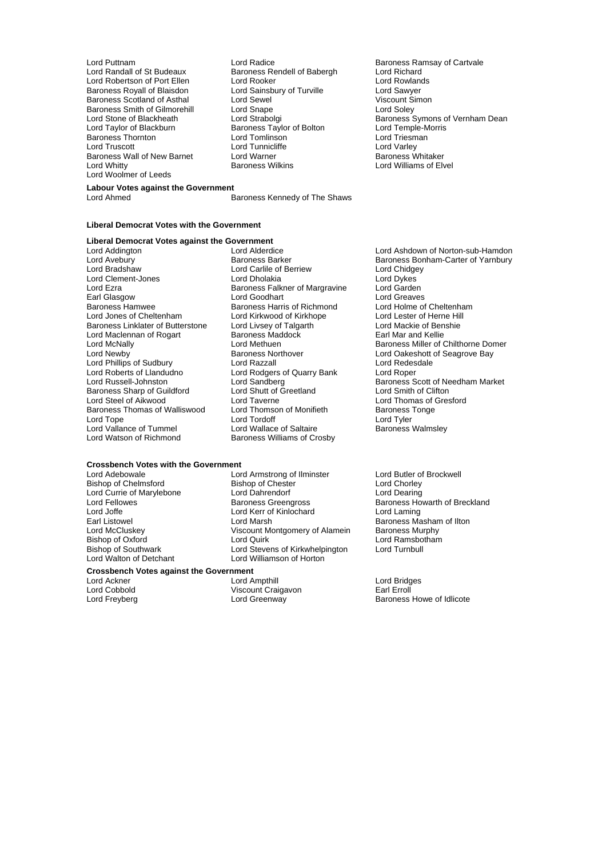Lord Robertson of Port Ellen Lord Rooker Cord Rooker Lord Rowland Lord Rowlands Baroness Royall of Blaisdon Lord Sainsbury of Turville Baroness Royall of Blaisdon<br>Baroness Scotland of Asthal Lord Sawyer Lord Savyer Lord Sawyer<br>Lord Sewel Lord Sewel Lord Sewel Viscount Simon Baroness Scotland of Asthal Lord Sewel (Contract Simon Siscount Simon Sexent Simon Simon Simon Scotland Assemb<br>
Raroness Smith of Gilmorehill Lord Snape (Contract Scotland Soley Lord Soley Lord Soley Baroness Smith of Gilmorehill Lord Snape<br>
Lord Stone of Blackheath Lord Strabolgi Baroness Thornton **Example 2** Lord Tomlinson **Lord Triesm**<br>
Lord Truscott **Lord Tunnicliffe** Lord Varley Baroness Wall of New Barnet Lord Warner<br>
Lord Whitty **Baroness Wilkins** Lord Woolmer of Leeds

- Lord Puttnam **Lord Radice** Lord Radice **Baroness Ramsay of Cartvale**<br>
Lord Randall of St Budeaux Baroness Rendell of Babergh Lord Richard Baroness Rendell of Babergh Lord Richard<br>Lord Rooker Lord Rowlands Exaroness Taylor of Bolton Lord Temple-Mord Tomlinson Lord Temple-Mord Temple-Morris<br>
Lord Triesman Lord Tunnicliffe **Lord Varley**<br>
Lord Warner **Lord Warner**<br>
Baroness Whitaker
- Extractive Community Community Community Community Community Community Corresponsible Dean<br>
Lord Stone of Blackheath Baroness Taylor of Bolton<br>
Lord Taylor of Blackburn Baroness Taylor of Bolton Lord Temple-Morris Lord Williams of Elvel

### **Labour Votes against the Government**<br>Lord Ahmed

Baroness Kennedy of The Shaws

### **Liberal Democrat Votes with the Government**

# **Liberal Democrat Votes against the Government**

Lord Clement-Jones Lord Ezra Baroness Falkner of Margravine Lord Garden<br>
Earl Glasgow Cord Goodhart Lord Greaves Earl Glasgow **Lexel Cooperance Cooperation** Lord Goodhart Cooperation Cooperation Cooperation Cooperation Cooper<br>
Baroness Hammund Baroness Harris of Richmond Lord Holme of Cheltenham Baroness Hamwee Baroness Harris of Richmond Lord Holme of Cheltenham<br>
Lord Jones of Cheltenham Lord Kirkwood of Kirkhope Lord Lester of Herne Hill Baroness Linklater of Butterstone Lord Livsey of Talgarth Lord Mackie of Benshie<br>
Lord Maclennan of Rogart Baroness Maddock Barl Mar and Kellie Lord Maclennan of Rogart Baroness Mac<br>
Lord McNally Baroness Mac Lord Phillips of Sudbury Lord Razzall Lord Redes<br>Lord Roberts of Llandudno Lord Rodgers of Quarry Bank Lord Roper Lord Roberts of Llandudno<br>
Lord Russell-Johnston<br>
Lord Sandberg<br>
Lord Sandberg Baroness Sharp of Guildford Lord Shutt of Greetland Lord Smith of Clifton<br>
Lord Steel of Aikwood Lord Taverne Lord Thomas of Gree Baroness Thomas of Walliswood Lord Thomson Cord Tonger<br>
Lord Tonger Lord Vallance of Tummel<br>Lord Watson of Richmond

Lord Bradshaw Lord Carlile of Berriew Lord Chidgey Lord Kirkwood of Kirkhope Lord Taverne<br>
Lord Thomson of Monifieth<br>
Baroness Tonge<br>
Cord Thomson of Monifieth<br>
Baroness Tonge Lord Tordoff<br>
Lord Wallace of Saltaire<br>
Baroness Walmsley Baroness Williams of Crosby

Lord Ashdown of Norton-sub-Hamdon Lord Avebury **Example 2** Baroness Barker Baroness Baroness Bonham-Carter of Yarnbury<br>
Lord Bradshaw **Baroness Bonness Bonness Bonness Bonness Bonness Bonness Bonness Bonness Bonness Bonness Bonness** Lord McNally **Lord Methuen** Baroness Miller of Chilthorne Domer<br>
Lord Newby **Baroness Northover** Baroness Northorne Lord Oakeshott of Seagrove Bay Baroness Northover **Lord Oakeshott of Seagrove Bay**<br>
Lord Razzall<br>
Lord Redesdale Baroness Scott of Needham Market

# **Crossbench Votes with the Government**

Lord Currie of Marylebone **Lord Dahrendorf Currie of Marylebone**<br>
Lord Fellowes **Lord Danmess** Greengross Lord Joffe Lord Kerr of Kinlochard<br>Earl Listowel Lord Marsh

Lord Armstrong of Ilminster Lord Butler of Brockwell<br>
Bishop of Chester Lord Chorley Bishop of Chelmsford Bishop of Chester Lord Chorley<br>
Lord Currie of Marylebone Lord Dahrendorf Lord Dearing<br>
Lord Currie of Marylebone Lord Dahrendorf Lord Dearing Lord Fellowes The Baroness Greengross Creatives Baroness Howarth of Breckland<br>
Lord Joffe The Lord Kerr of Kinlochard<br>
Lord Laming Earl Listowel **Exercise State Lord Marsh** Baroness Masham of Ilton<br>
Lord McCluskey **Baroness Marsh** Screen Unit Corress Marsh Baroness Murphy Viscount Montgomery of Alamein Baroness Murphy<br>Lord Quirk Baroness Murphy Bishop of Oxford **Exercise State Lord Aurel** Lord Quirk Cord Cuirk Lord Ramsbotham<br>Bishop of Southwark Lord Stevens of Kirkwhelpington Lord Turnbull Bishop of Southwark Lord Stevens of Kirkwhelpington<br>
Lord Walton of Detchant
Lord Williamson of Horton Lord Williamson of Horton

### **Crossbench Votes against the Government**

Lord Ackner The Lord Ampthill Lord Ampthill Lord Bridges<br>
Lord Cobbold Corp Viscount Craigavon The Larl Erroll Lord Cobbold Viscount Craigavon<br>
Lord Frevberg<br>
Lord Greenway

Lord Freyberg Lord Greenway Baroness Howe of Idlicote